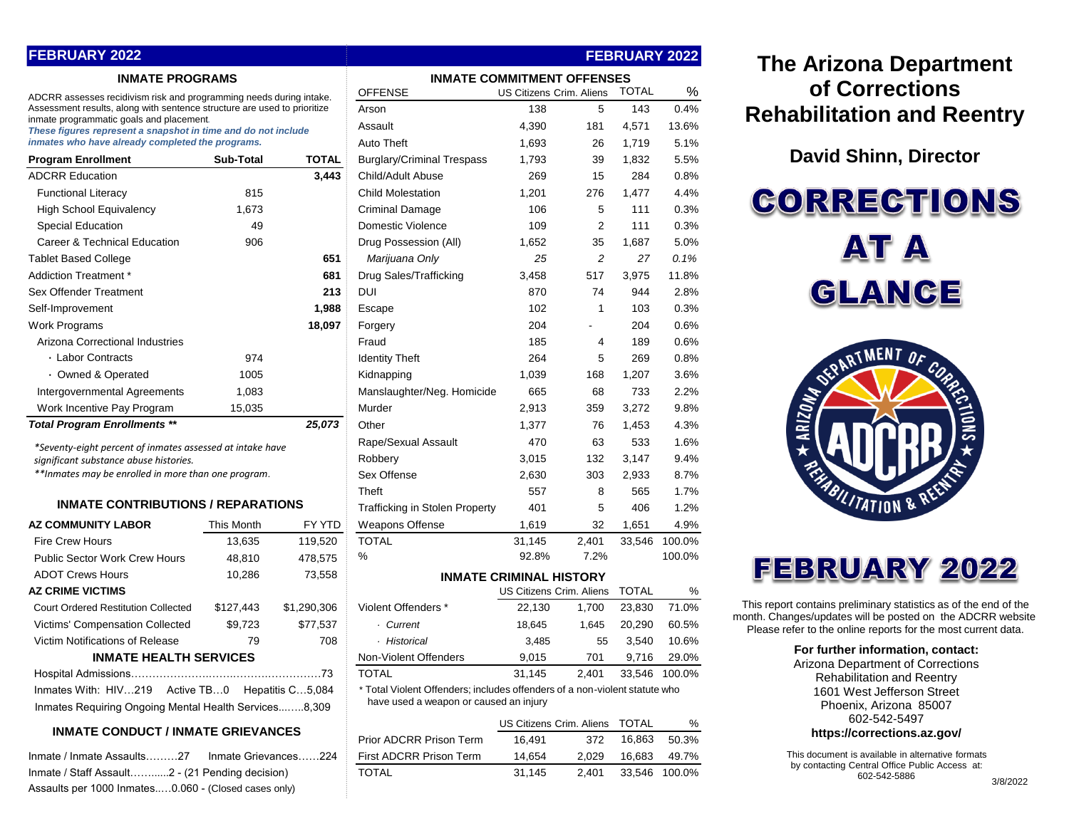## **FEBRUARY 2022**

## **INMATE PROGRAMS**

| <b>Program Enrollment</b>           | Sub-Total | TOTAL  |
|-------------------------------------|-----------|--------|
| <b>ADCRR Education</b>              |           | 3,443  |
| <b>Functional Literacy</b>          | 815       |        |
| <b>High School Equivalency</b>      | 1,673     |        |
| Special Education                   | 49        |        |
| Career & Technical Education        | 906       |        |
| <b>Tablet Based College</b>         |           | 651    |
| Addiction Treatment *               |           | 681    |
| Sex Offender Treatment              |           | 213    |
| Self-Improvement                    |           | 1,988  |
| Work Programs                       |           | 18,097 |
| Arizona Correctional Industries     |           |        |
| ⋅ Labor Contracts                   | 974       |        |
| · Owned & Operated                  | 1005      |        |
| Intergovernmental Agreements        | 1,083     |        |
| Work Incentive Pay Program          | 15,035    |        |
| <b>Total Program Enrollments **</b> |           | 25,073 |

## **INMATE CONTRIBUTIONS / REPARATIONS**

| <b>AZ COMMUNITY LABOR</b>                             | This Month | FY YTD      |  |  |  |  |  |  |
|-------------------------------------------------------|------------|-------------|--|--|--|--|--|--|
| <b>Fire Crew Hours</b>                                | 13,635     | 119,520     |  |  |  |  |  |  |
| <b>Public Sector Work Crew Hours</b>                  | 48,810     | 478,575     |  |  |  |  |  |  |
| <b>ADOT Crews Hours</b>                               | 10,286     | 73,558      |  |  |  |  |  |  |
| <b>AZ CRIME VICTIMS</b>                               |            |             |  |  |  |  |  |  |
| <b>Court Ordered Restitution Collected</b>            | \$127.443  | \$1.290.306 |  |  |  |  |  |  |
| Victims' Compensation Collected                       | \$9.723    | \$77.537    |  |  |  |  |  |  |
| Victim Notifications of Release                       | 79         | 708         |  |  |  |  |  |  |
| <b>INMATE HEALTH SERVICES</b>                         |            |             |  |  |  |  |  |  |
|                                                       |            |             |  |  |  |  |  |  |
| Inmates With: HIV219 Active TB0 Hepatitis C5,084      |            |             |  |  |  |  |  |  |
| Inmates Requiring Ongoing Mental Health Services8,309 |            |             |  |  |  |  |  |  |

## **INMATE CONDUCT / INMATE GRIEVANCES**

| Inmate / Inmate Assaults………27                        | Inmate Grievances224 |  |
|------------------------------------------------------|----------------------|--|
| Inmate / Staff Assault2 - (21 Pending decision)      |                      |  |
| Assaults per 1000 Inmates0.060 - (Closed cases only) |                      |  |

| <b>INMATE PROGRAMS</b>                                                                                               | <b>INMATE COMMITMENT OFFENSES</b> |                   |                                                                            |                                |                |              |        |
|----------------------------------------------------------------------------------------------------------------------|-----------------------------------|-------------------|----------------------------------------------------------------------------|--------------------------------|----------------|--------------|--------|
| ADCRR assesses recidivism risk and programming needs during intake.                                                  |                                   |                   | <b>OFFENSE</b>                                                             | US Citizens Crim. Aliens       |                | <b>TOTAL</b> | %      |
| Assessment results, along with sentence structure are used to prioritize<br>inmate programmatic goals and placement. |                                   |                   | Arson                                                                      | 138                            | 5              | 143          | 0.4%   |
| These figures represent a snapshot in time and do not include                                                        |                                   | Assault           | 4,390                                                                      | 181                            | 4,571          | 13.6%        |        |
| inmates who have already completed the programs.                                                                     |                                   | <b>Auto Theft</b> | 1,693                                                                      | 26                             | 1,719          | 5.1%         |        |
| <b>Program Enrollment</b>                                                                                            | Sub-Total                         | <b>TOTAL</b>      | <b>Burglary/Criminal Trespass</b>                                          | 1,793                          | 39             | 1,832        | 5.5%   |
| <b>ADCRR Education</b>                                                                                               |                                   | 3,443             | Child/Adult Abuse                                                          | 269                            | 15             | 284          | 0.8%   |
| <b>Functional Literacy</b>                                                                                           | 815                               |                   | <b>Child Molestation</b>                                                   | 1,201                          | 276            | 1,477        | 4.4%   |
| <b>High School Equivalency</b>                                                                                       | 1,673                             |                   | <b>Criminal Damage</b>                                                     | 106                            | 5              | 111          | 0.3%   |
| <b>Special Education</b>                                                                                             | 49                                |                   | <b>Domestic Violence</b>                                                   | 109                            | $\overline{2}$ | 111          | 0.3%   |
| Career & Technical Education                                                                                         | 906                               |                   | Drug Possession (All)                                                      | 1,652                          | 35             | 1,687        | 5.0%   |
| <b>Tablet Based College</b>                                                                                          |                                   | 651               | Marijuana Only                                                             | 25                             | $\overline{c}$ | 27           | 0.1%   |
| Addiction Treatment *                                                                                                |                                   | 681               | Drug Sales/Trafficking                                                     | 3.458                          | 517            | 3,975        | 11.8%  |
| Sex Offender Treatment                                                                                               |                                   | 213               | <b>DUI</b>                                                                 | 870                            | 74             | 944          | 2.8%   |
| Self-Improvement                                                                                                     |                                   | 1,988             | Escape                                                                     | 102                            | $\mathbf{1}$   | 103          | 0.3%   |
| Work Programs                                                                                                        |                                   | 18,097            | Forgery                                                                    | 204                            |                | 204          | 0.6%   |
| Arizona Correctional Industries                                                                                      |                                   |                   | Fraud                                                                      | 185                            | 4              | 189          | 0.6%   |
| • Labor Contracts                                                                                                    | 974                               |                   | <b>Identity Theft</b>                                                      | 264                            | 5              | 269          | 0.8%   |
| • Owned & Operated                                                                                                   | 1005                              |                   | Kidnapping                                                                 | 1,039                          | 168            | 1,207        | 3.6%   |
| Intergovernmental Agreements                                                                                         | 1,083                             |                   | Manslaughter/Neg. Homicide                                                 | 665                            | 68             | 733          | 2.2%   |
| Work Incentive Pay Program                                                                                           | 15,035                            |                   | Murder                                                                     | 2,913                          | 359            | 3,272        | 9.8%   |
| <b>Total Program Enrollments **</b>                                                                                  |                                   | 25,073            | Other                                                                      | 1,377                          | 76             | 1,453        | 4.3%   |
| *Seventy-eight percent of inmates assessed at intake have                                                            |                                   |                   | Rape/Sexual Assault                                                        | 470                            | 63             | 533          | 1.6%   |
| significant substance abuse histories.                                                                               |                                   |                   | Robbery                                                                    | 3,015                          | 132            | 3,147        | 9.4%   |
| **Inmates may be enrolled in more than one program.                                                                  |                                   |                   | Sex Offense                                                                | 2,630                          | 303            | 2,933        | 8.7%   |
|                                                                                                                      |                                   |                   | Theft                                                                      | 557                            | 8              | 565          | 1.7%   |
| <b>INMATE CONTRIBUTIONS / REPARATIONS</b>                                                                            |                                   |                   | <b>Trafficking in Stolen Property</b>                                      | 401                            | 5              | 406          | 1.2%   |
| <b>AZ COMMUNITY LABOR</b>                                                                                            | This Month                        | FY YTD            | <b>Weapons Offense</b>                                                     | 1,619                          | 32             | 1,651        | 4.9%   |
| <b>Fire Crew Hours</b>                                                                                               | 13.635                            | 119,520           | <b>TOTAL</b>                                                               | 31.145                         | 2.401          | 33.546       | 100.0% |
| <b>Public Sector Work Crew Hours</b>                                                                                 | 48,810                            | 478,575           | %                                                                          | 92.8%                          | 7.2%           |              | 100.0% |
| <b>ADOT Crews Hours</b>                                                                                              | 10,286                            | 73,558            |                                                                            | <b>INMATE CRIMINAL HISTORY</b> |                |              |        |
| <b>AZ CRIME VICTIMS</b>                                                                                              |                                   |                   | US Citizens Crim. Aliens                                                   |                                | <b>TOTAL</b>   | %            |        |
| <b>Court Ordered Restitution Collected</b>                                                                           | \$127,443                         | \$1,290,306       | Violent Offenders *                                                        | 22,130                         | 1,700          | 23,830       | 71.0%  |
| Victims' Compensation Collected                                                                                      | \$9,723                           | \$77,537          | · Current                                                                  | 18,645                         | 1,645          | 20,290       | 60.5%  |
| Victim Notifications of Release                                                                                      | 79                                | 708               | · Historical                                                               | 3,485                          | 55             | 3,540        | 10.6%  |
| <b>INMATE HEALTH SERVICES</b>                                                                                        |                                   |                   | Non-Violent Offenders                                                      | 9,015                          | 701            | 9,716        | 29.0%  |
|                                                                                                                      |                                   |                   | <b>TOTAL</b>                                                               | 31,145                         | 2,401          | 33,546       | 100.0% |
| Inmates With: HIV219<br>Active TB…0                                                                                  |                                   | Hepatitis C5,084  | * Total Violent Offenders; includes offenders of a non-violent statute who |                                |                |              |        |
| Inmates Requiring Ongoing Mental Health Services8,309                                                                |                                   |                   | have used a weapon or caused an injury                                     |                                |                |              |        |
|                                                                                                                      |                                   |                   |                                                                            |                                |                |              |        |

**FEBRUARY 2022**

|                                                       |                         | US Citizens Crim. Aliens |       | TOTAI         | $\frac{0}{0}$ |
|-------------------------------------------------------|-------------------------|--------------------------|-------|---------------|---------------|
| <b>INMATE CONDUCT / INMATE GRIEVANCES</b>             | Prior ADCRR Prison Term | 16.491                   | 372   | 16.863        | 50.3%         |
| Inmate Grievances224<br>Inmate / Inmate Assaults………27 | First ADCRR Prison Term | 14.654                   | 2.029 | 16.683        | 49.7%         |
| Inmate / Staff Assault…………2 - (21 Pending decision)   | TOTAL                   | 31.145                   | 2.401 | 33,546 100.0% |               |
|                                                       |                         |                          |       |               |               |

# **The Arizona Department of Corrections Rehabilitation and Reentry**

## **David Shinn, Director**

**CORRECTIONS** AT A GLANCE



# **FEBRUARY 2022**

This report contains preliminary statistics as of the end of the month. Changes/updates will be posted on the ADCRR website. Please refer to the online reports for the most current data.

#### **For further information, contact:**

Arizona Department of Corrections Rehabilitation and Reentry 1601 West Jefferson Street Phoenix, Arizona 85007 602-542-5497

### **https://corrections.az.gov/**

This document is available in alternative formats by contacting Central Office Public Access at: 602-542-5886